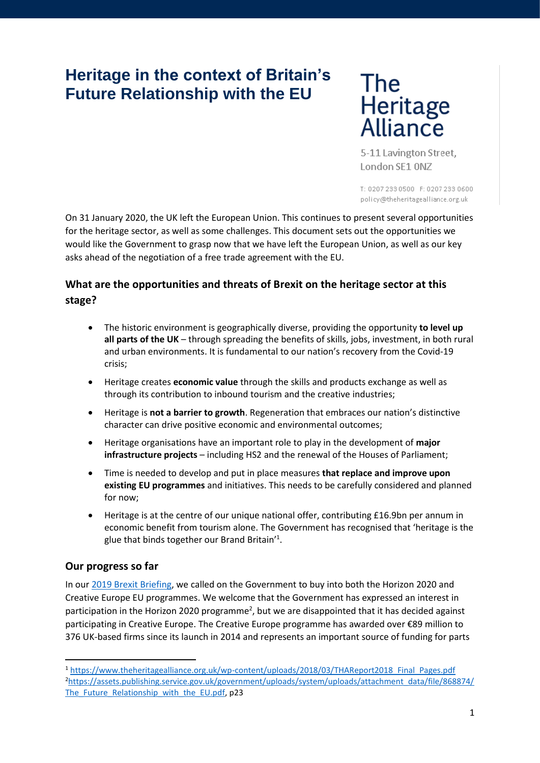# **Heritage in the context of Britain's Future Relationship with the EU**

The Heritage<br>Alliance

5-11 Lavington Street, London SE1 0NZ

T: 0207 233 0500 F: 0207 233 0600 policy@theheritagealliance.org.uk

On 31 January 2020, the UK left the European Union. This continues to present several opportunities for the heritage sector, as well as some challenges. This document sets out the opportunities we would like the Government to grasp now that we have left the European Union, as well as our key asks ahead of the negotiation of a free trade agreement with the EU.

# **What are the opportunities and threats of Brexit on the heritage sector at this stage?**

- The historic environment is geographically diverse, providing the opportunity **to level up all parts of the UK** – through spreading the benefits of skills, jobs, investment, in both rural and urban environments. It is fundamental to our nation's recovery from the Covid-19 crisis;
- Heritage creates **economic value** through the skills and products exchange as well as through its contribution to inbound tourism and the creative industries;
- Heritage is **not a barrier to growth**. Regeneration that embraces our nation's distinctive character can drive positive economic and environmental outcomes;
- Heritage organisations have an important role to play in the development of **major infrastructure projects** – including HS2 and the renewal of the Houses of Parliament;
- Time is needed to develop and put in place measures **that replace and improve upon existing EU programmes** and initiatives. This needs to be carefully considered and planned for now;
- Heritage is at the centre of our unique national offer, contributing £16.9bn per annum in economic benefit from tourism alone. The Government has recognised that 'heritage is the glue that binds together our Brand Britain<sup>'1</sup>.

## **Our progress so far**

In our [2019 Brexit Briefing,](https://www.theheritagealliance.org.uk/wp-content/uploads/2017/07/Brexit-and-Heritage-Briefing-FINAL-with-Royal-Society-Report.pdf) we called on the Government to buy into both the Horizon 2020 and Creative Europe EU programmes. We welcome that the Government has expressed an interest in participation in the Horizon 2020 programme<sup>2</sup>, but we are disappointed that it has decided against participating in Creative Europe. The Creative Europe programme has awarded over €89 million to 376 UK-based firms since its launch in 2014 and represents an important source of funding for parts

<sup>1</sup> [https://www.theheritagealliance.org.uk/wp-content/uploads/2018/03/THAReport2018\\_Final\\_Pages.pdf](https://www.theheritagealliance.org.uk/wp-content/uploads/2018/03/THAReport2018_Final_Pages.pdf) <sup>2</sup>[https://assets.publishing.service.gov.uk/government/uploads/system/uploads/attachment\\_data/file/868874/](https://assets.publishing.service.gov.uk/government/uploads/system/uploads/attachment_data/file/868874/The_Future_Relationship_with_the_EU.pdf) The Future Relationship with the EU.pdf, p23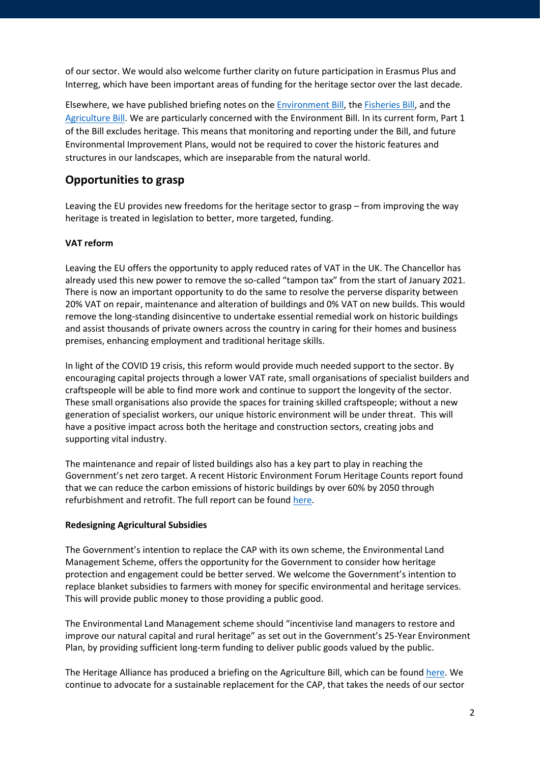of our sector. We would also welcome further clarity on future participation in Erasmus Plus and Interreg, which have been important areas of funding for the heritage sector over the last decade.

Elsewhere, we have published briefing notes on th[e Environment Bill,](https://www.theheritagealliance.org.uk/wp-content/uploads/2020/02/Environment-Bill-Second-Reading-HOC-Briefing.pdf) the [Fisheries Bill,](https://www.theheritagealliance.org.uk/wp-content/uploads/2020/02/Fisheries-Bill-Briefing-Second-Reading-House-of-Lords-2020.pdf) and the [Agriculture Bill.](https://www.theheritagealliance.org.uk/wp-content/uploads/2020/02/The-Heritage-Alliance-Briefing-Agriculture-Bill-2020.pdf) We are particularly concerned with the Environment Bill. In its current form, Part 1 of the Bill excludes heritage. This means that monitoring and reporting under the Bill, and future Environmental Improvement Plans, would not be required to cover the historic features and structures in our landscapes, which are inseparable from the natural world.

## **Opportunities to grasp**

Leaving the EU provides new freedoms for the heritage sector to grasp – from improving the way heritage is treated in legislation to better, more targeted, funding.

### **VAT reform**

Leaving the EU offers the opportunity to apply reduced rates of VAT in the UK. The Chancellor has already used this new power to remove the so-called "tampon tax" from the start of January 2021. There is now an important opportunity to do the same to resolve the perverse disparity between 20% VAT on repair, maintenance and alteration of buildings and 0% VAT on new builds. This would remove the long-standing disincentive to undertake essential remedial work on historic buildings and assist thousands of private owners across the country in caring for their homes and business premises, enhancing employment and traditional heritage skills.

In light of the COVID 19 crisis, this reform would provide much needed support to the sector. By encouraging capital projects through a lower VAT rate, small organisations of specialist builders and craftspeople will be able to find more work and continue to support the longevity of the sector. These small organisations also provide the spaces for training skilled craftspeople; without a new generation of specialist workers, our unique historic environment will be under threat. This will have a positive impact across both the heritage and construction sectors, creating jobs and supporting vital industry.

The maintenance and repair of listed buildings also has a key part to play in reaching the Government's net zero target. A recent Historic Environment Forum Heritage Counts report found that we can reduce the carbon emissions of historic buildings by over 60% by 2050 through refurbishment and retrofit. The full report can be found [here.](https://historicengland.org.uk/content/heritage-counts/pub/2019/hc2019-re-use-recycle-to-reduce-carbon/)

### **Redesigning Agricultural Subsidies**

The Government's intention to replace the CAP with its own scheme, the Environmental Land Management Scheme, offers the opportunity for the Government to consider how heritage protection and engagement could be better served. We welcome the Government's intention to replace blanket subsidies to farmers with money for specific environmental and heritage services. This will provide public money to those providing a public good.

The Environmental Land Management scheme should "incentivise land managers to restore and improve our natural capital and rural heritage" as set out in the Government's 25-Year Environment Plan, by providing sufficient long-term funding to deliver public goods valued by the public.

The Heritage Alliance has produced a briefing on the Agriculture Bill, which can be found [here.](https://www.theheritagealliance.org.uk/wp-content/uploads/2020/02/The-Heritage-Alliance-Briefing-Agriculture-Bill-2020.pdf) We continue to advocate for a sustainable replacement for the CAP, that takes the needs of our sector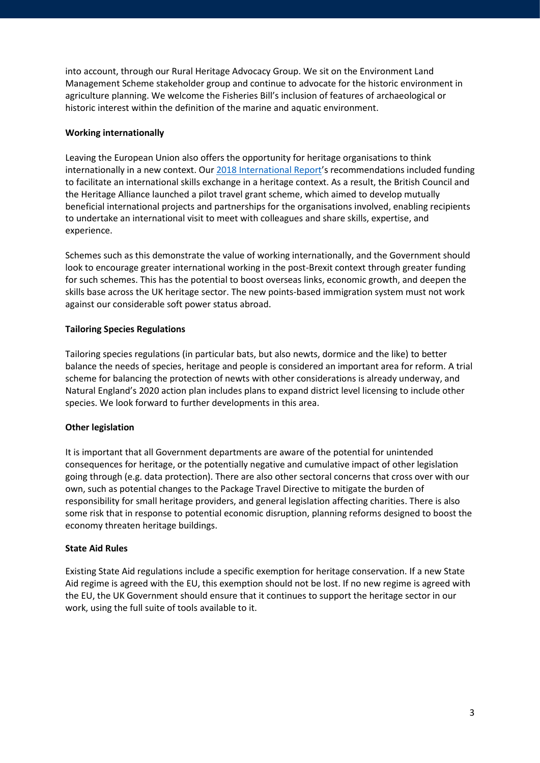into account, through our Rural Heritage Advocacy Group. We sit on the Environment Land Management Scheme stakeholder group and continue to advocate for the historic environment in agriculture planning. We welcome the Fisheries Bill's inclusion of features of archaeological or historic interest within the definition of the marine and aquatic environment.

#### **Working internationally**

Leaving the European Union also offers the opportunity for heritage organisations to think internationally in a new context. Ou[r 2018 International Report](https://www.theheritagealliance.org.uk/wp-content/uploads/2018/03/THAReport2018_Final_Pages.pdf)'s recommendations included funding to facilitate an international skills exchange in a heritage context. As a result, the British Council and the Heritage Alliance launched a pilot travel grant scheme, which aimed to develop mutually beneficial international projects and partnerships for the organisations involved, enabling recipients to undertake an international visit to meet with colleagues and share skills, expertise, and experience.

Schemes such as this demonstrate the value of working internationally, and the Government should look to encourage greater international working in the post-Brexit context through greater funding for such schemes. This has the potential to boost overseas links, economic growth, and deepen the skills base across the UK heritage sector. The new points-based immigration system must not work against our considerable soft power status abroad.

#### **Tailoring Species Regulations**

Tailoring species regulations (in particular bats, but also newts, dormice and the like) to better balance the needs of species, heritage and people is considered an important area for reform. A trial scheme for balancing the protection of newts with other considerations is already underway, and Natural England's 2020 action plan includes plans to expand district level licensing to include other species. We look forward to further developments in this area.

### **Other legislation**

It is important that all Government departments are aware of the potential for unintended consequences for heritage, or the potentially negative and cumulative impact of other legislation going through (e.g. data protection). There are also other sectoral concerns that cross over with our own, such as potential changes to the Package Travel Directive to mitigate the burden of responsibility for small heritage providers, and general legislation affecting charities. There is also some risk that in response to potential economic disruption, planning reforms designed to boost the economy threaten heritage buildings.

#### **State Aid Rules**

Existing State Aid regulations include a specific exemption for heritage conservation. If a new State Aid regime is agreed with the EU, this exemption should not be lost. If no new regime is agreed with the EU, the UK Government should ensure that it continues to support the heritage sector in our work, using the full suite of tools available to it.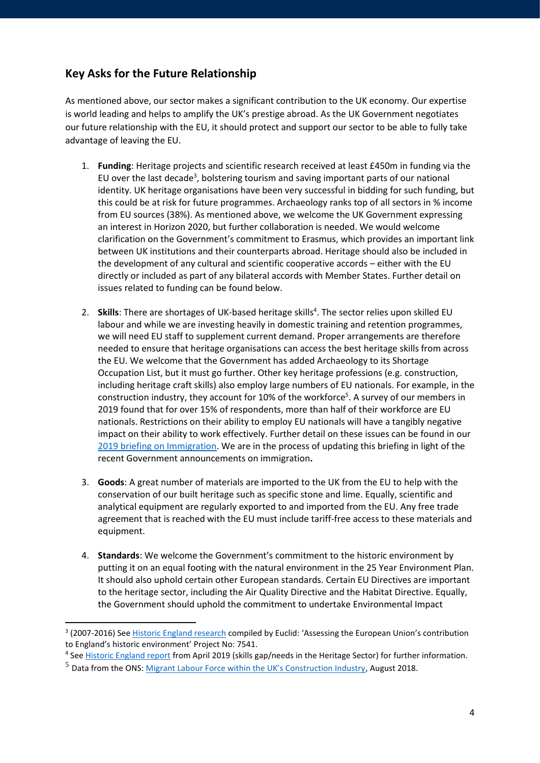# **Key Asks for the Future Relationship**

As mentioned above, our sector makes a significant contribution to the UK economy. Our expertise is world leading and helps to amplify the UK's prestige abroad. As the UK Government negotiates our future relationship with the EU, it should protect and support our sector to be able to fully take advantage of leaving the EU.

- 1. **Funding**: Heritage projects and scientific research received at least £450m in funding via the EU over the last decade<sup>3</sup>, bolstering tourism and saving important parts of our national identity. UK heritage organisations have been very successful in bidding for such funding, but this could be at risk for future programmes. Archaeology ranks top of all sectors in % income from EU sources (38%). As mentioned above, we welcome the UK Government expressing an interest in Horizon 2020, but further collaboration is needed. We would welcome clarification on the Government's commitment to Erasmus, which provides an important link between UK institutions and their counterparts abroad. Heritage should also be included in the development of any cultural and scientific cooperative accords – either with the EU directly or included as part of any bilateral accords with Member States. Further detail on issues related to funding can be found below.
- 2. Skills: There are shortages of UK-based heritage skills<sup>4</sup>. The sector relies upon skilled EU labour and while we are investing heavily in domestic training and retention programmes, we will need EU staff to supplement current demand. Proper arrangements are therefore needed to ensure that heritage organisations can access the best heritage skills from across the EU. We welcome that the Government has added Archaeology to its Shortage Occupation List, but it must go further. Other key heritage professions (e.g. construction, including heritage craft skills) also employ large numbers of EU nationals. For example, in the construction industry, they account for 10% of the workforce<sup>5</sup>. A survey of our members in 2019 found that for over 15% of respondents, more than half of their workforce are EU nationals. Restrictions on their ability to employ EU nationals will have a tangibly negative impact on their ability to work effectively. Further detail on these issues can be found in our [2019 briefing on Immigration.](https://www.theheritagealliance.org.uk/wp-content/uploads/2019/05/Heritage-and-Immigration-Brexit-Briefing.pdf) We are in the process of updating this briefing in light of the recent Government announcements on immigration**.**
- 3. **Goods**: A great number of materials are imported to the UK from the EU to help with the conservation of our built heritage such as specific stone and lime. Equally, scientific and analytical equipment are regularly exported to and imported from the EU. Any free trade agreement that is reached with the EU must include tariff-free access to these materials and equipment.
- 4. **Standards**: We welcome the Government's commitment to the historic environment by putting it on an equal footing with the natural environment in the 25 Year Environment Plan. It should also uphold certain other European standards. Certain EU Directives are important to the heritage sector, including the Air Quality Directive and the Habitat Directive. Equally, the Government should uphold the commitment to undertake Environmental Impact

<sup>&</sup>lt;sup>3</sup> (2007-2016) See *Historic England research* compiled by Euclid: 'Assessing the European Union's contribution to England's historic environment' Project No: 7541.

<sup>&</sup>lt;sup>4</sup> See **Historic England report from April 2019** (skills gap/needs in the Heritage Sector) for further information.

<sup>5</sup> Data from the ONS: [Migrant Labour Force within the UK's Construction Industry](https://www.ons.gov.uk/peoplepopulationandcommunity/populationandmigration/internationalmigration/articles/migrantlabourforcewithintheconstructionindustry/august2018), August 2018.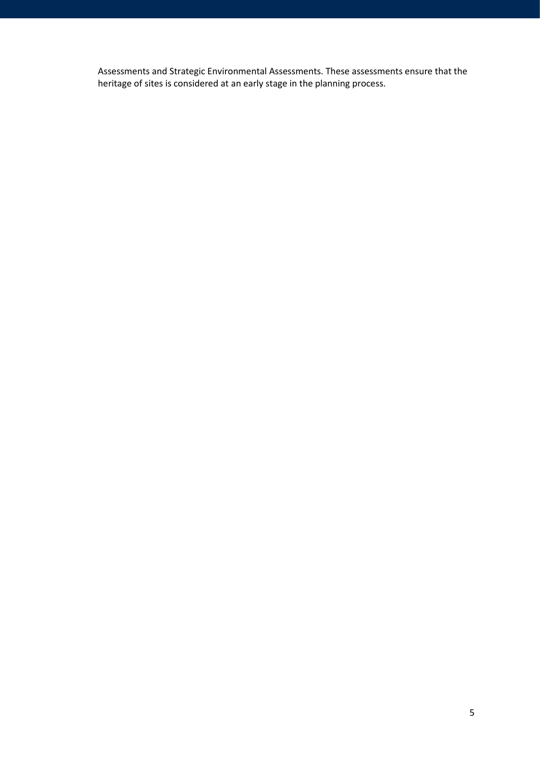Assessments and Strategic Environmental Assessments. These assessments ensure that the heritage of sites is considered at an early stage in the planning process.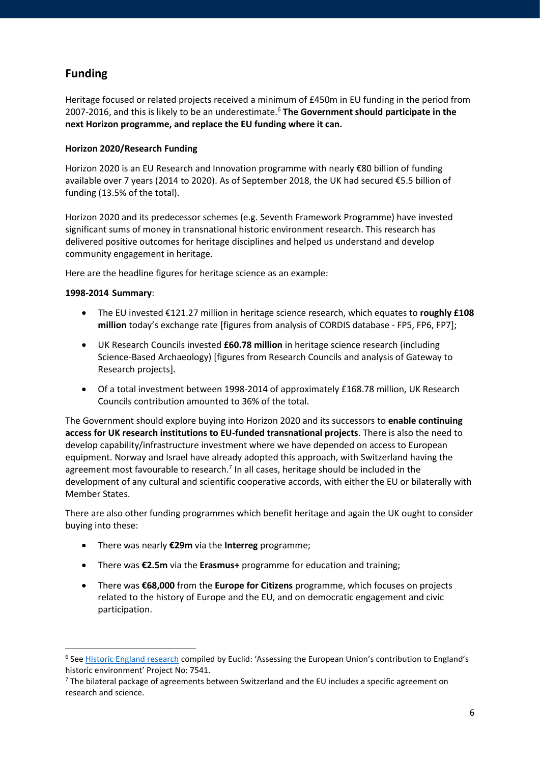# **Funding**

Heritage focused or related projects received a minimum of £450m in EU funding in the period from 2007-2016, and this is likely to be an underestimate.<sup>6</sup> **The Government should participate in the next Horizon programme, and replace the EU funding where it can.**

## **Horizon 2020/Research Funding**

Horizon 2020 is an EU Research and Innovation programme with nearly €80 billion of funding available over 7 years (2014 to 2020). As of September 2018, the UK had secured €5.5 billion of funding (13.5% of the total).

Horizon 2020 and its predecessor schemes (e.g. Seventh Framework Programme) have invested significant sums of money in transnational historic environment research. This research has delivered positive outcomes for heritage disciplines and helped us understand and develop community engagement in heritage.

Here are the headline figures for heritage science as an example:

### **1998-2014 Summary**:

- The EU invested €121.27 million in heritage science research, which equates to **roughly £108 million** today's exchange rate [figures from analysis of CORDIS database - FP5, FP6, FP7];
- UK Research Councils invested **£60.78 million** in heritage science research (including Science-Based Archaeology) [figures from Research Councils and analysis of Gateway to Research projects].
- Of a total investment between 1998-2014 of approximately £168.78 million, UK Research Councils contribution amounted to 36% of the total.

The Government should explore buying into Horizon 2020 and its successors to **enable continuing access for UK research institutions to EU-funded transnational projects**. There is also the need to develop capability/infrastructure investment where we have depended on access to European equipment. Norway and Israel have already adopted this approach, with Switzerland having the agreement most favourable to research.<sup>7</sup> In all cases, heritage should be included in the development of any cultural and scientific cooperative accords, with either the EU or bilaterally with Member States.

There are also other funding programmes which benefit heritage and again the UK ought to consider buying into these:

- There was nearly **€29m** via the **Interreg** programme;
- There was **€2.5m** via the **Erasmus+** programme for education and training;
- There was **€68,000** from the **Europe for Citizens** programme, which focuses on projects related to the history of Europe and the EU, and on democratic engagement and civic participation.

<sup>&</sup>lt;sup>6</sup> See **Historic England research compiled by Euclid: 'Assessing the European Union's contribution to England's** historic environment' Project No: 7541.

 $7$  The bilateral package of agreements between Switzerland and the EU includes a specific agreement on research and science.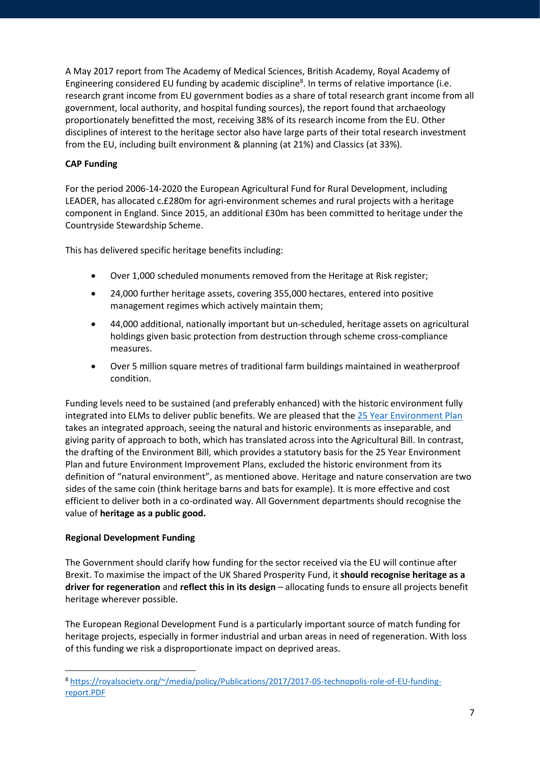A May 2017 report from The Academy of Medical Sciences, British Academy, Royal Academy of Engineering considered EU funding by academic discipline<sup>8</sup>. In terms of relative importance (i.e. research grant income from EU government bodies as a share of total research grant income from all government, local authority, and hospital funding sources), the report found that archaeology proportionately benefitted the most, receiving 38% of its research income from the EU. Other disciplines of interest to the heritage sector also have large parts of their total research investment from the EU, including built environment & planning (at 21%) and Classics (at 33%).

## **CAP Funding**

For the period 2006-14-2020 the European Agricultural Fund for Rural Development, including LEADER, has allocated c.£280m for agri-environment schemes and rural projects with a heritage component in England. Since 2015, an additional £30m has been committed to heritage under the Countryside Stewardship Scheme.

This has delivered specific heritage benefits including:

- Over 1,000 scheduled monuments removed from the Heritage at Risk register;
- 24,000 further heritage assets, covering 355,000 hectares, entered into positive management regimes which actively maintain them;
- 44,000 additional, nationally important but un-scheduled, heritage assets on agricultural holdings given basic protection from destruction through scheme cross-compliance measures.
- Over 5 million square metres of traditional farm buildings maintained in weatherproof condition.

Funding levels need to be sustained (and preferably enhanced) with the historic environment fully integrated into ELMs to deliver public benefits. We are pleased that the 25 [Year Environment Plan](https://www.gov.uk/government/publications/25-year-environment-plan) takes an integrated approach, seeing the natural and historic environments as inseparable, and giving parity of approach to both, which has translated across into the Agricultural Bill. In contrast, the drafting of the Environment Bill, which provides a statutory basis for the 25 Year Environment Plan and future Environment Improvement Plans, excluded the historic environment from its definition of "natural environment", as mentioned above. Heritage and nature conservation are two sides of the same coin (think heritage barns and bats for example). It is more effective and cost efficient to deliver both in a co-ordinated way. All Government departments should recognise the value of **heritage as a public good.**

### **Regional Development Funding**

The Government should clarify how funding for the sector received via the EU will continue after Brexit. To maximise the impact of the UK Shared Prosperity Fund, it **should recognise heritage as a driver for regeneration** and **reflect this in its design** – allocating funds to ensure all projects benefit heritage wherever possible.

The European Regional Development Fund is a particularly important source of match funding for heritage projects, especially in former industrial and urban areas in need of regeneration. With loss of this funding we risk a disproportionate impact on deprived areas.

<sup>8</sup> [https://royalsociety.org/~/media/policy/Publications/2017/2017-05-technopolis-role-of-EU-funding](https://royalsociety.org/~/media/policy/Publications/2017/2017-05-technopolis-role-of-EU-funding-report.PDF)[report.PDF](https://royalsociety.org/~/media/policy/Publications/2017/2017-05-technopolis-role-of-EU-funding-report.PDF)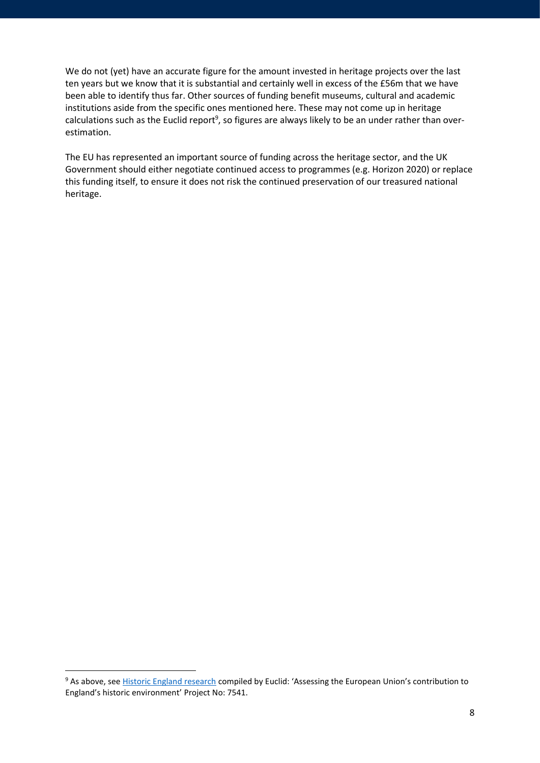We do not (yet) have an accurate figure for the amount invested in heritage projects over the last ten years but we know that it is substantial and certainly well in excess of the £56m that we have been able to identify thus far. Other sources of funding benefit museums, cultural and academic institutions aside from the specific ones mentioned here. These may not come up in heritage calculations such as the Euclid report<sup>9</sup>, so figures are always likely to be an under rather than overestimation.

The EU has represented an important source of funding across the heritage sector, and the UK Government should either negotiate continued access to programmes (e.g. Horizon 2020) or replace this funding itself, to ensure it does not risk the continued preservation of our treasured national heritage.

<sup>&</sup>lt;sup>9</sup> As above, see [Historic England research](https://historicengland.org.uk/content/docs/research/assessing-eu-contribution-to-englands-historic-environment-pdf/) compiled by Euclid: 'Assessing the European Union's contribution to England's historic environment' Project No: 7541.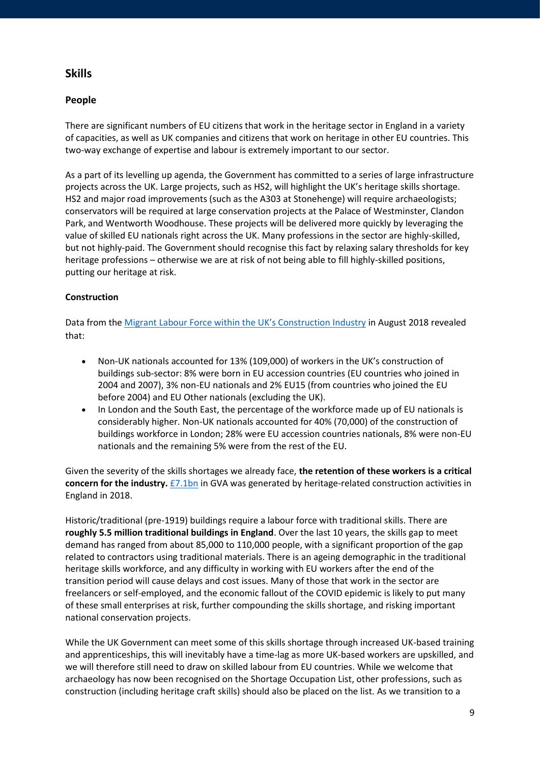## **Skills**

## **People**

There are significant numbers of EU citizens that work in the heritage sector in England in a variety of capacities, as well as UK companies and citizens that work on heritage in other EU countries. This two-way exchange of expertise and labour is extremely important to our sector.

As a part of its levelling up agenda, the Government has committed to a series of large infrastructure projects across the UK. Large projects, such as HS2, will highlight the UK's heritage skills shortage. HS2 and major road improvements (such as the A303 at Stonehenge) will require archaeologists; conservators will be required at large conservation projects at the Palace of Westminster, Clandon Park, and Wentworth Woodhouse. These projects will be delivered more quickly by leveraging the value of skilled EU nationals right across the UK. Many professions in the sector are highly-skilled, but not highly-paid. The Government should recognise this fact by relaxing salary thresholds for key heritage professions – otherwise we are at risk of not being able to fill highly-skilled positions, putting our heritage at risk.

### **Construction**

Data from the Migrant Labour Force with[in the UK's Construction Industry](https://www.ons.gov.uk/peoplepopulationandcommunity/populationandmigration/internationalmigration/articles/migrantlabourforcewithintheconstructionindustry/august2018) in August 2018 revealed that:

- Non-UK nationals accounted for 13% (109,000) of workers in the UK's construction of buildings sub-sector: 8% were born in EU accession countries (EU countries who joined in 2004 and 2007), 3% non-EU nationals and 2% EU15 (from countries who joined the EU before 2004) and EU Other nationals (excluding the UK).
- In London and the South East, the percentage of the workforce made up of EU nationals is considerably higher. Non-UK nationals accounted for 40% (70,000) of the construction of buildings workforce in London; 28% were EU accession countries nationals, 8% were non-EU nationals and the remaining 5% were from the rest of the EU.

Given the severity of the skills shortages we already face, **the retention of these workers is a critical concern for the industry.** [£7.1bn](https://historicengland.org.uk/content/heritage-counts/pub/2019/heritage-and-the-economy-2019/) in GVA was generated by heritage-related construction activities in England in 2018.

Historic/traditional (pre-1919) buildings require a labour force with traditional skills. There are **roughly 5.5 million traditional buildings in England**. Over the last 10 years, the skills gap to meet demand has ranged from about 85,000 to 110,000 people, with a significant proportion of the gap related to contractors using traditional materials. There is an ageing demographic in the traditional heritage skills workforce, and any difficulty in working with EU workers after the end of the transition period will cause delays and cost issues. Many of those that work in the sector are freelancers or self-employed, and the economic fallout of the COVID epidemic is likely to put many of these small enterprises at risk, further compounding the skills shortage, and risking important national conservation projects.

While the UK Government can meet some of this skills shortage through increased UK-based training and apprenticeships, this will inevitably have a time-lag as more UK-based workers are upskilled, and we will therefore still need to draw on skilled labour from EU countries. While we welcome that archaeology has now been recognised on the Shortage Occupation List, other professions, such as construction (including heritage craft skills) should also be placed on the list. As we transition to a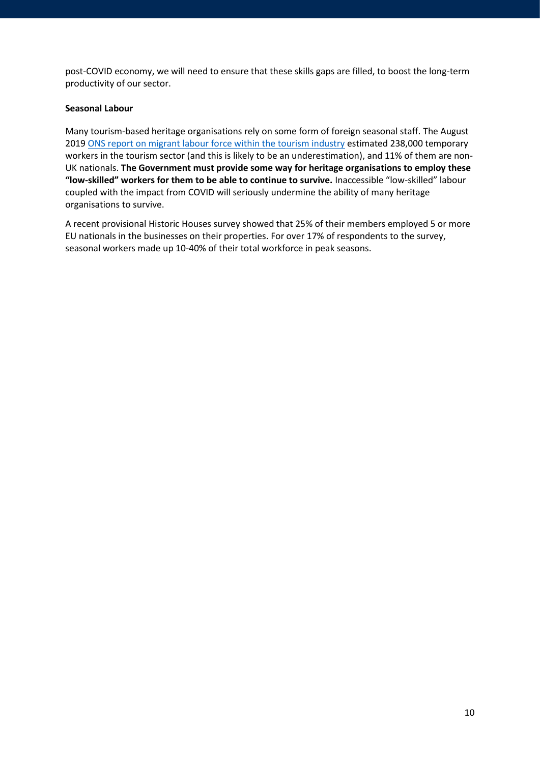post-COVID economy, we will need to ensure that these skills gaps are filled, to boost the long-term productivity of our sector.

#### **Seasonal Labour**

Many tourism-based heritage organisations rely on some form of foreign seasonal staff. The August 2019 [ONS report on migrant labour force within the tourism industry](https://www.ons.gov.uk/peoplepopulationandcommunity/populationandmigration/internationalmigration/articles/migrantlabourforcewithinthetourismindustry/august2019) estimated 238,000 temporary workers in the tourism sector (and this is likely to be an underestimation), and 11% of them are non-UK nationals. **The Government must provide some way for heritage organisations to employ these "low-skilled" workers for them to be able to continue to survive.** Inaccessible "low-skilled" labour coupled with the impact from COVID will seriously undermine the ability of many heritage organisations to survive.

A recent provisional Historic Houses survey showed that 25% of their members employed 5 or more EU nationals in the businesses on their properties. For over 17% of respondents to the survey, seasonal workers made up 10-40% of their total workforce in peak seasons.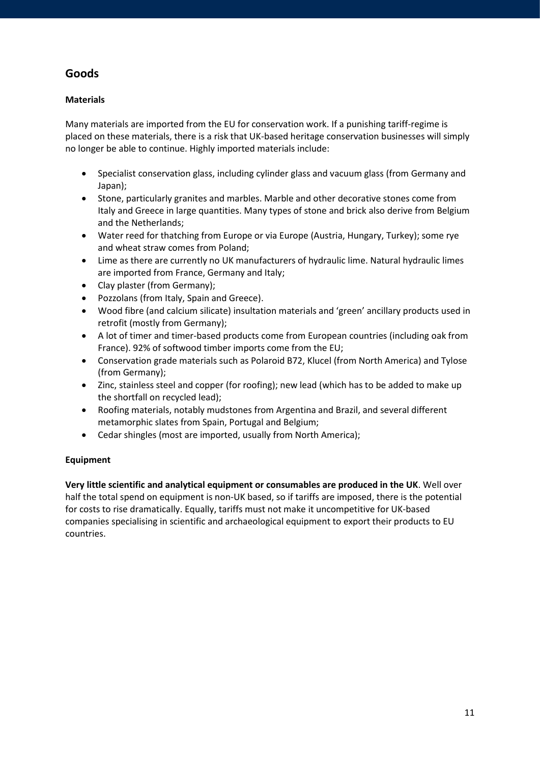# **Goods**

## **Materials**

Many materials are imported from the EU for conservation work. If a punishing tariff-regime is placed on these materials, there is a risk that UK-based heritage conservation businesses will simply no longer be able to continue. Highly imported materials include:

- Specialist conservation glass, including cylinder glass and vacuum glass (from Germany and Japan);
- Stone, particularly granites and marbles. Marble and other decorative stones come from Italy and Greece in large quantities. Many types of stone and brick also derive from Belgium and the Netherlands;
- Water reed for thatching from Europe or via Europe (Austria, Hungary, Turkey); some rye and wheat straw comes from Poland;
- Lime as there are currently no UK manufacturers of hydraulic lime. Natural hydraulic limes are imported from France, Germany and Italy;
- Clay plaster (from Germany);
- Pozzolans (from Italy, Spain and Greece).
- Wood fibre (and calcium silicate) insultation materials and 'green' ancillary products used in retrofit (mostly from Germany);
- A lot of timer and timer-based products come from European countries (including oak from France). 92% of softwood timber imports come from the EU;
- Conservation grade materials such as Polaroid B72, Klucel (from North America) and Tylose (from Germany);
- Zinc, stainless steel and copper (for roofing); new lead (which has to be added to make up the shortfall on recycled lead);
- Roofing materials, notably mudstones from Argentina and Brazil, and several different metamorphic slates from Spain, Portugal and Belgium;
- Cedar shingles (most are imported, usually from North America);

### **Equipment**

**Very little scientific and analytical equipment or consumables are produced in the UK**. Well over half the total spend on equipment is non-UK based, so if tariffs are imposed, there is the potential for costs to rise dramatically. Equally, tariffs must not make it uncompetitive for UK-based companies specialising in scientific and archaeological equipment to export their products to EU countries.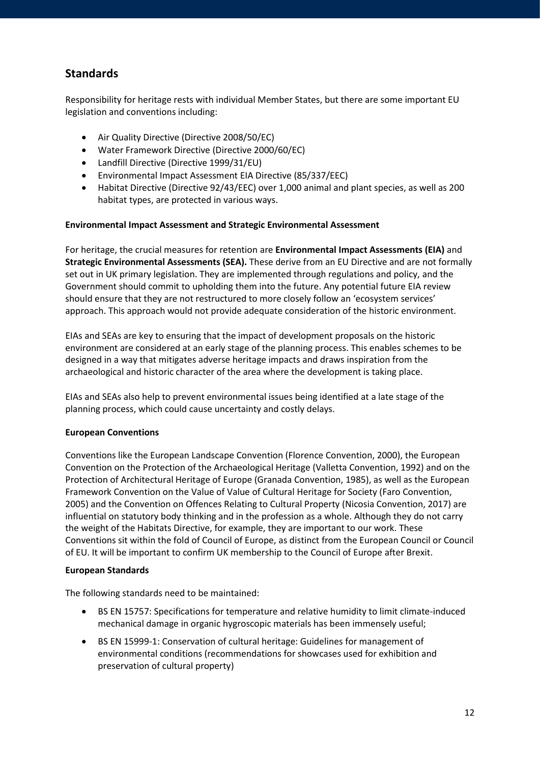# **Standards**

Responsibility for heritage rests with individual Member States, but there are some important EU legislation and conventions including:

- Air Quality Directive (Directive 2008/50/EC)
- Water Framework Directive (Directive 2000/60/EC)
- Landfill Directive (Directive 1999/31/EU)
- Environmental Impact Assessment EIA Directive (85/337/EEC)
- Habitat Directive (Directive 92/43/EEC) over 1,000 animal and plant species, as well as 200 habitat types, are protected in various ways.

#### **Environmental Impact Assessment and Strategic Environmental Assessment**

For heritage, the crucial measures for retention are **Environmental Impact Assessments (EIA)** and **Strategic Environmental Assessments (SEA).** These derive from an EU Directive and are not formally set out in UK primary legislation. They are implemented through regulations and policy, and the Government should commit to upholding them into the future. Any potential future EIA review should ensure that they are not restructured to more closely follow an 'ecosystem services' approach. This approach would not provide adequate consideration of the historic environment.

EIAs and SEAs are key to ensuring that the impact of development proposals on the historic environment are considered at an early stage of the planning process. This enables schemes to be designed in a way that mitigates adverse heritage impacts and draws inspiration from the archaeological and historic character of the area where the development is taking place.

EIAs and SEAs also help to prevent environmental issues being identified at a late stage of the planning process, which could cause uncertainty and costly delays.

#### **European Conventions**

Conventions like the European Landscape Convention (Florence Convention, 2000), the European Convention on the Protection of the Archaeological Heritage (Valletta Convention, 1992) and on the Protection of Architectural Heritage of Europe (Granada Convention, 1985), as well as the European Framework Convention on the Value of Value of Cultural Heritage for Society (Faro Convention, 2005) and the Convention on Offences Relating to Cultural Property (Nicosia Convention, 2017) are influential on statutory body thinking and in the profession as a whole. Although they do not carry the weight of the Habitats Directive, for example, they are important to our work. These Conventions sit within the fold of Council of Europe, as distinct from the European Council or Council of EU. It will be important to confirm UK membership to the Council of Europe after Brexit.

#### **European Standards**

The following standards need to be maintained:

- BS EN 15757: Specifications for temperature and relative humidity to limit climate-induced mechanical damage in organic hygroscopic materials has been immensely useful;
- BS EN 15999-1: Conservation of cultural heritage: Guidelines for management of environmental conditions (recommendations for showcases used for exhibition and preservation of cultural property)